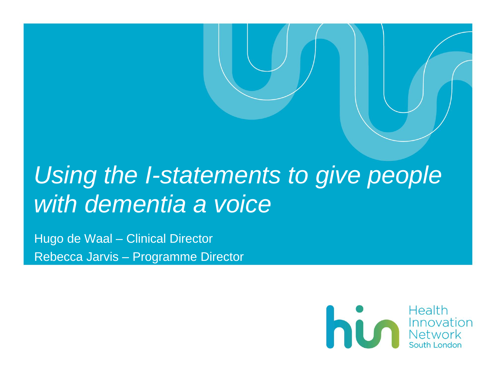# *Using the I-statements to give people with dementia a voice*

Hugo de Waal – Clinical Director Rebecca Jarvis – Programme Director

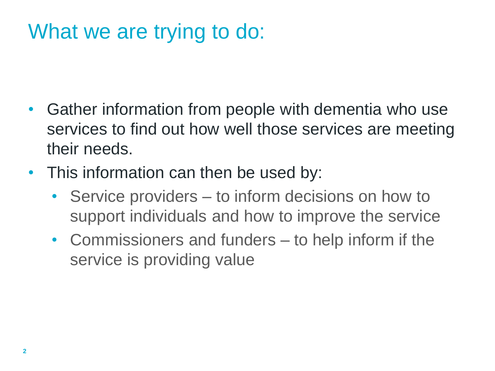## What we are trying to do:

- Gather information from people with dementia who use services to find out how well those services are meeting their needs.
- This information can then be used by:
	- Service providers to inform decisions on how to support individuals and how to improve the service
	- Commissioners and funders to help inform if the service is providing value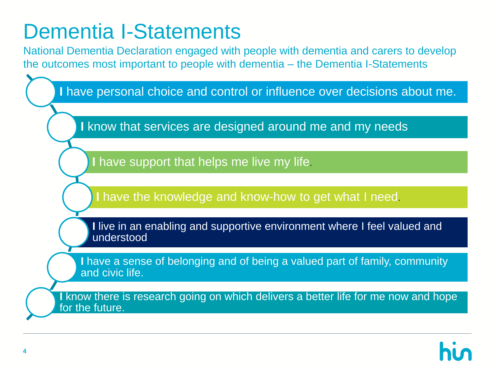## Dementia I-Statements

National Dementia Declaration engaged with people with dementia and carers to develop the outcomes most important to people with dementia – the Dementia I-Statements

**I** have personal choice and control or influence over decisions about me.

**I** know that services are designed around me and my needs

**I** have support that helps me live my life.

**I** have the knowledge and know-how to get what I need.

**I** live in an enabling and supportive environment where I feel valued and understood

**I** have a sense of belonging and of being a valued part of family, community and civic life.

**I** know there is research going on which delivers a better life for me now and hope for the future.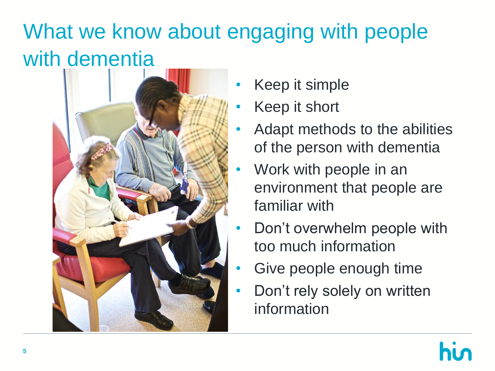# What we know about engaging with people with dementia



- Keep it simple
- Keep it short
- Adapt methods to the abilities of the person with dementia
- Work with people in an environment that people are familiar with
- Don't overwhelm people with too much information
- Give people enough time
- Don't rely solely on written information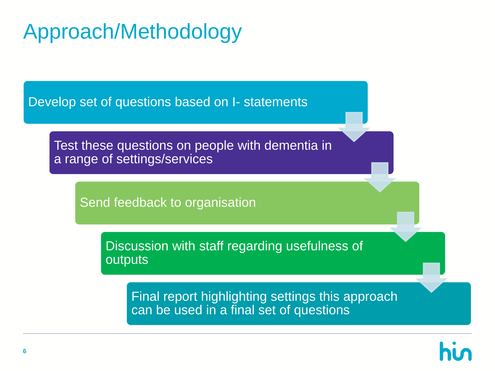## Approach/Methodology

Develop set of questions based on I- statements

Test these questions on people with dementia in a range of settings/services

Send feedback to organisation

Discussion with staff regarding usefulness of outputs

Final report highlighting settings this approach can be used in a final set of questions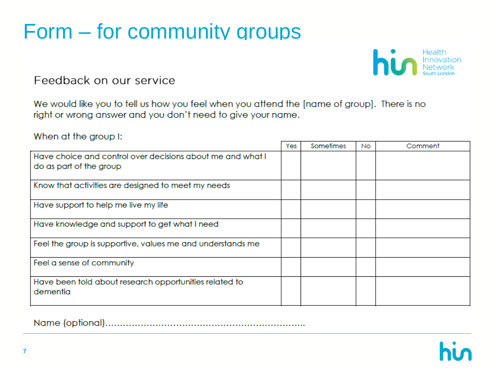## Form – for community groups



Feedback on our service

We would like you to tell us how you feel when you attend the [name of group]. There is no right or wrong answer and you don't need to give your name.

When at the group I:

|                                                                                       | Yes | Sometimes | <b>No</b> | Comment |
|---------------------------------------------------------------------------------------|-----|-----------|-----------|---------|
| Have choice and control over decisions about me and what I<br>do as part of the group |     |           |           |         |
| Know that activities are designed to meet my needs                                    |     |           |           |         |
| Have support to help me live my life                                                  |     |           |           |         |
| Have knowledge and support to get what I need                                         |     |           |           |         |
| Feel the group is supportive, values me and understands me                            |     |           |           |         |
| Feel a sense of community                                                             |     |           |           |         |
| Have been told about research opportunities related to<br>dementia                    |     |           |           |         |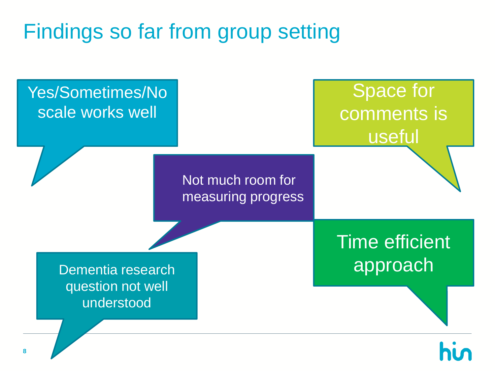# Findings so far from group setting

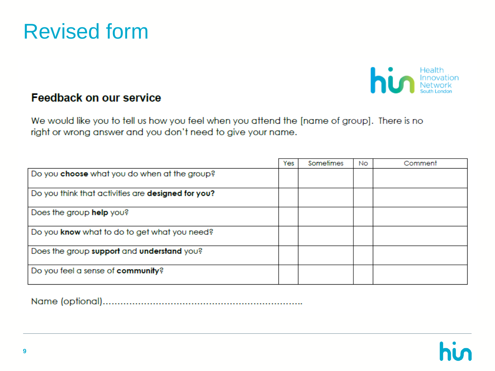![](_page_7_Picture_0.jpeg)

![](_page_7_Picture_1.jpeg)

#### **Feedback on our service**

We would like you to tell us how you feel when you attend the [name of group]. There is no right or wrong answer and you don't need to give your name.

|                                                    | Yes | Sometimes | <b>No</b> | Comment |
|----------------------------------------------------|-----|-----------|-----------|---------|
| Do you choose what you do when at the group?       |     |           |           |         |
| Do you think that activities are designed for you? |     |           |           |         |
| Does the group help you?                           |     |           |           |         |
| Do you know what to do to get what you need?       |     |           |           |         |
| Does the group support and understand you?         |     |           |           |         |
| Do you feel a sense of community?                  |     |           |           |         |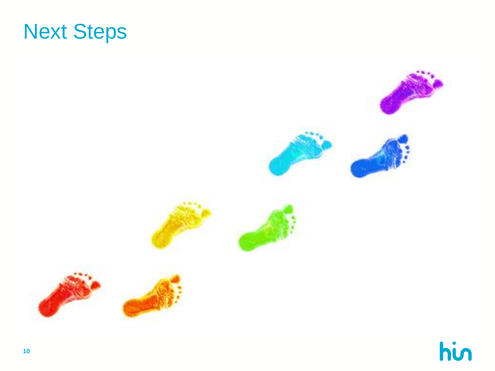![](_page_8_Picture_0.jpeg)

![](_page_8_Picture_1.jpeg)

hin